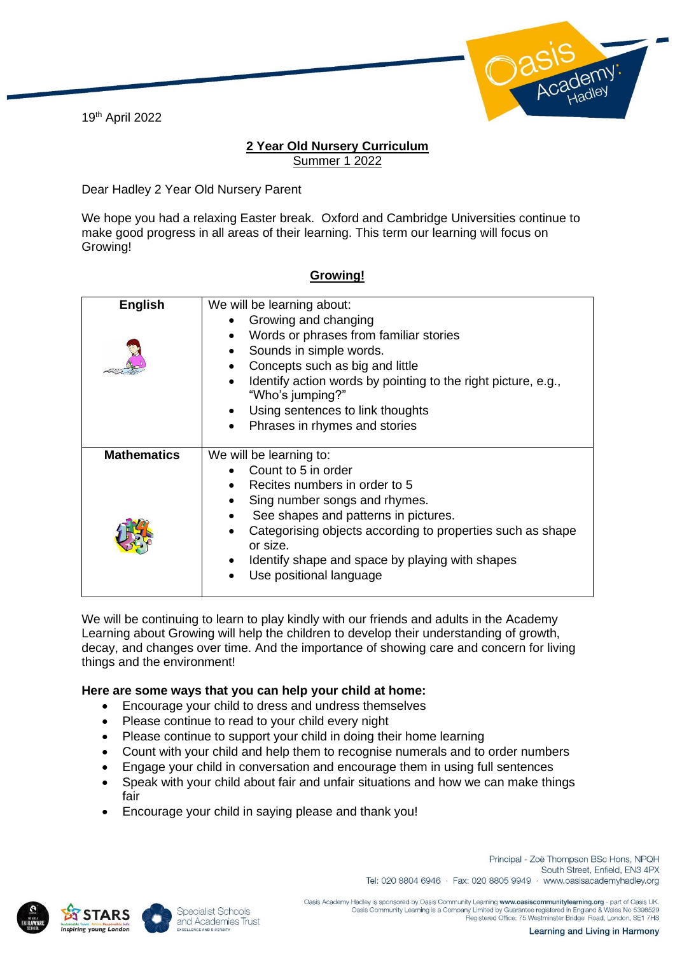19th April 2022



## **2 Year Old Nursery Curriculum** Summer 1 2022

Dear Hadley 2 Year Old Nursery Parent

We hope you had a relaxing Easter break. Oxford and Cambridge Universities continue to make good progress in all areas of their learning. This term our learning will focus on Growing!

| <b>English</b>     | We will be learning about:                                                        |
|--------------------|-----------------------------------------------------------------------------------|
|                    | Growing and changing                                                              |
|                    | Words or phrases from familiar stories<br>$\bullet$                               |
|                    | Sounds in simple words.                                                           |
|                    | Concepts such as big and little                                                   |
|                    | Identify action words by pointing to the right picture, e.g.,<br>"Who's jumping?" |
|                    | Using sentences to link thoughts                                                  |
|                    | Phrases in rhymes and stories                                                     |
|                    |                                                                                   |
| <b>Mathematics</b> | We will be learning to:                                                           |
|                    | Count to 5 in order                                                               |
|                    | Recites numbers in order to 5                                                     |
|                    | Sing number songs and rhymes.                                                     |
|                    | See shapes and patterns in pictures.                                              |
|                    | Categorising objects according to properties such as shape<br>or size.            |
|                    | Identify shape and space by playing with shapes                                   |
|                    | Use positional language                                                           |
|                    |                                                                                   |

## **Growing!**

We will be continuing to learn to play kindly with our friends and adults in the Academy Learning about Growing will help the children to develop their understanding of growth, decay, and changes over time. And the importance of showing care and concern for living things and the environment!

## **Here are some ways that you can help your child at home:**

- Encourage your child to dress and undress themselves
- Please continue to read to your child every night
- Please continue to support your child in doing their home learning
- Count with your child and help them to recognise numerals and to order numbers
- Engage your child in conversation and encourage them in using full sentences
- Speak with your child about fair and unfair situations and how we can make things fair
- Encourage your child in saying please and thank you!

Principal - Zoë Thompson BSc Hons, NPQH South Street, Enfield, EN3 4PX Tel: 020 8804 6946 · Fax: 020 8805 9949 · www.oasisacademyhadley.org





Oasis Academy Hadley is sponsored by Oasis Community Learning www.oasiscommunitylearning.org - part of Oasis UK Oasis Community Learning is a Company Limited by Guarantee registered in England & Wales No 5398529<br>Registered Office: 75 Westminster Bridge Road, London, SE1 7HS